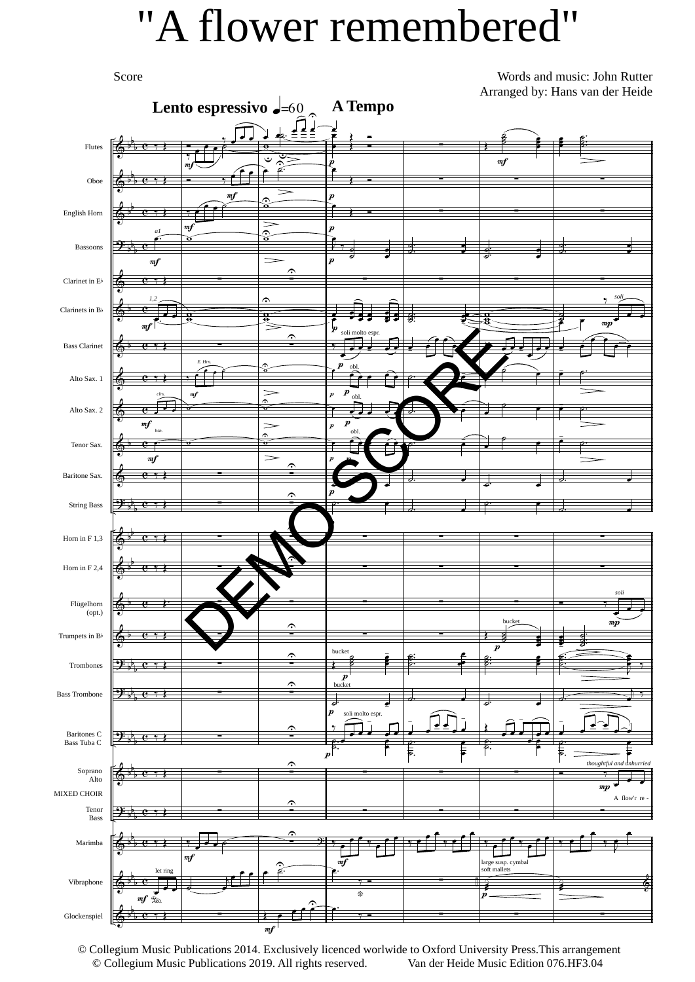## "A flower remembered"

Score

Words and music: John Rutter Arranged by: Hans van der Heide



© Collegium Music Publications 2014. Exclusively licenced worlwide to Oxford University Press.This arrangement © Collegium Music Publications 2019. All rights reserved.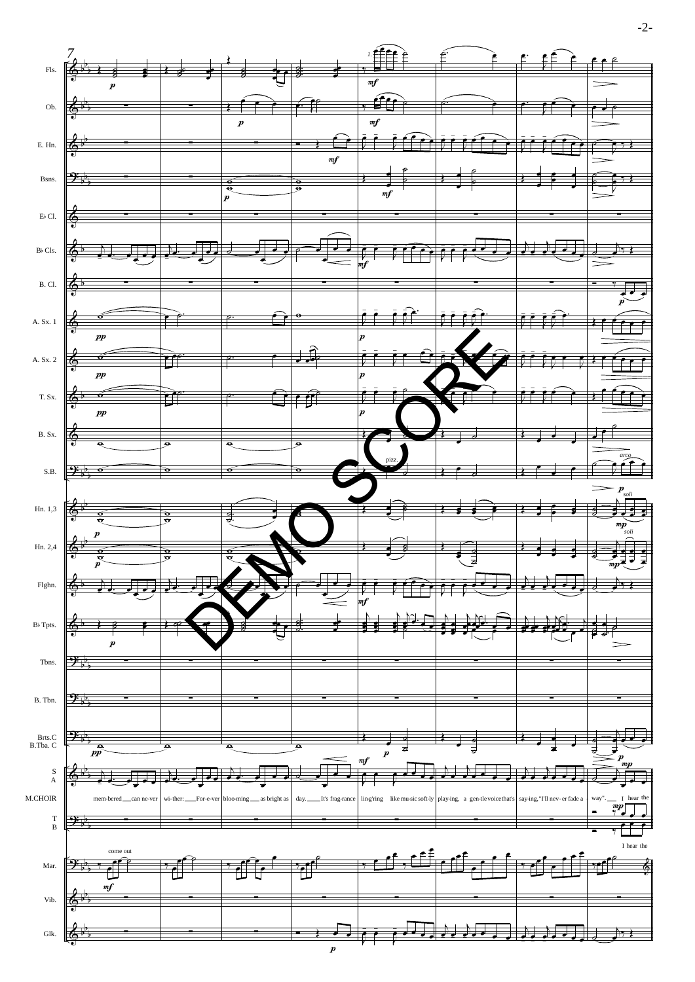-2-

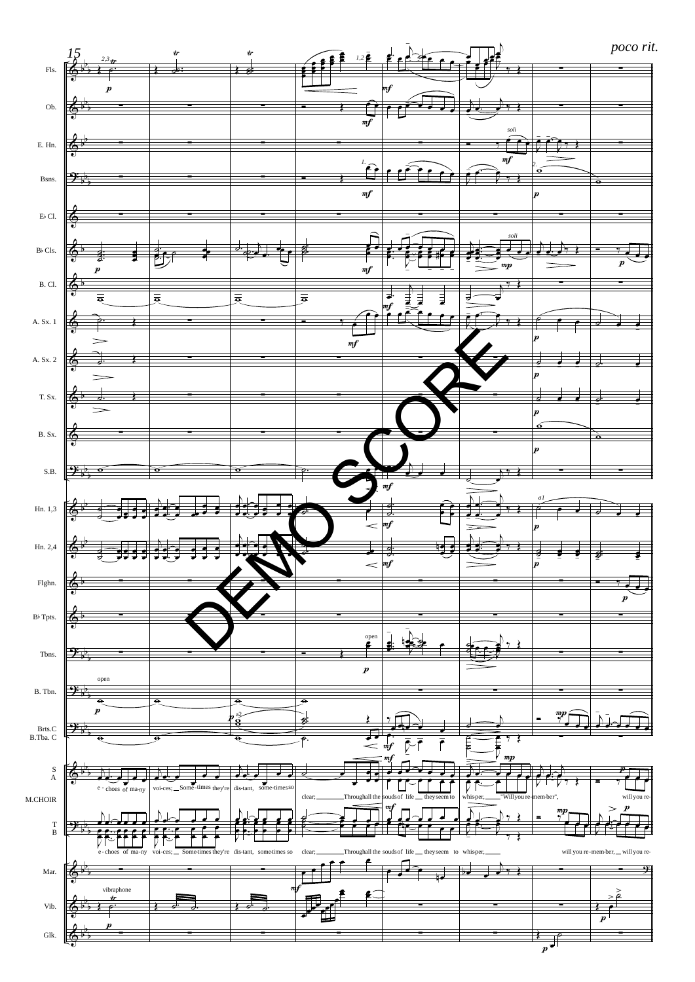